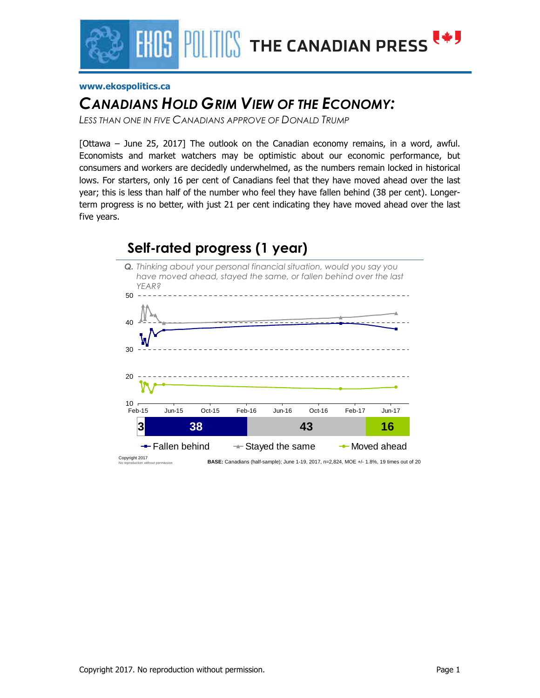

#### **www.ekospolitics.ca**

### *CANADIANS HOLD GRIM VIEW OF THE ECONOMY:*

*LESS THAN ONE IN FIVE CANADIANS APPROVE OF DONALD TRUMP*

[Ottawa – June 25, 2017] The outlook on the Canadian economy remains, in a word, awful. Economists and market watchers may be optimistic about our economic performance, but consumers and workers are decidedly underwhelmed, as the numbers remain locked in historical lows. For starters, only 16 per cent of Canadians feel that they have moved ahead over the last year; this is less than half of the number who feel they have fallen behind (38 per cent). Longerterm progress is no better, with just 21 per cent indicating they have moved ahead over the last five years.

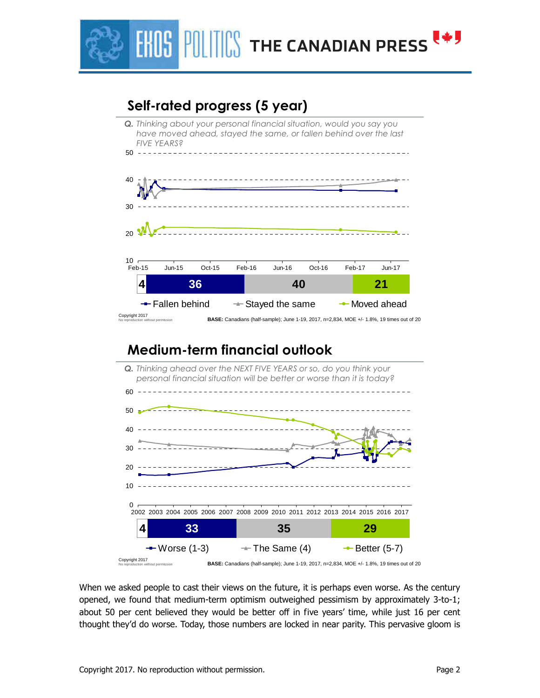

## **Self-rated progress (5 year)**



### **Medium-term financial outlook**



When we asked people to cast their views on the future, it is perhaps even worse. As the century opened, we found that medium-term optimism outweighed pessimism by approximately 3-to-1; about 50 per cent believed they would be better off in five years' time, while just 16 per cent thought they'd do worse. Today, those numbers are locked in near parity. This pervasive gloom is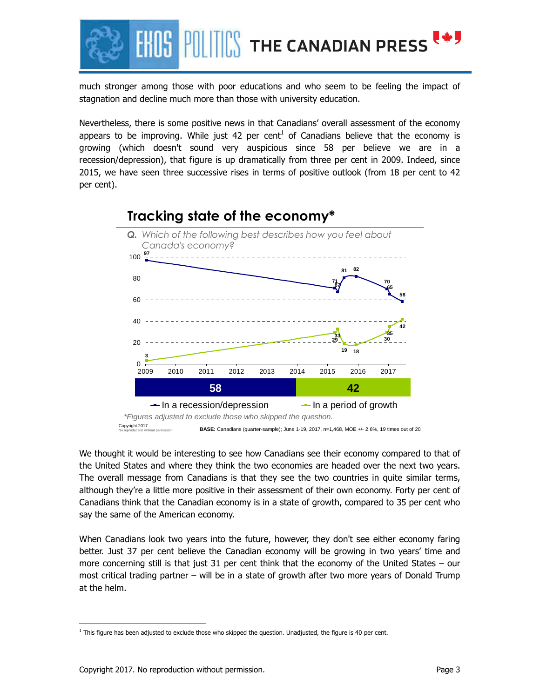

much stronger among those with poor educations and who seem to be feeling the impact of stagnation and decline much more than those with university education.

Nevertheless, there is some positive news in that Canadians' overall assessment of the economy appears to be improving. While just 42 per cent<sup>1</sup> of Canadians believe that the economy is growing (which doesn't sound very auspicious since 58 per believe we are in a recession/depression), that figure is up dramatically from three per cent in 2009. Indeed, since 2015, we have seen three successive rises in terms of positive outlook (from 18 per cent to 42 per cent).



We thought it would be interesting to see how Canadians see their economy compared to that of the United States and where they think the two economies are headed over the next two years. The overall message from Canadians is that they see the two countries in quite similar terms, although they're a little more positive in their assessment of their own economy. Forty per cent of Canadians think that the Canadian economy is in a state of growth, compared to 35 per cent who say the same of the American economy.

When Canadians look two years into the future, however, they don't see either economy faring better. Just 37 per cent believe the Canadian economy will be growing in two years' time and more concerning still is that just 31 per cent think that the economy of the United States – our most critical trading partner – will be in a state of growth after two more years of Donald Trump at the helm.

<u>.</u>

 $<sup>1</sup>$  This figure has been adjusted to exclude those who skipped the question. Unadjusted, the figure is 40 per cent.</sup>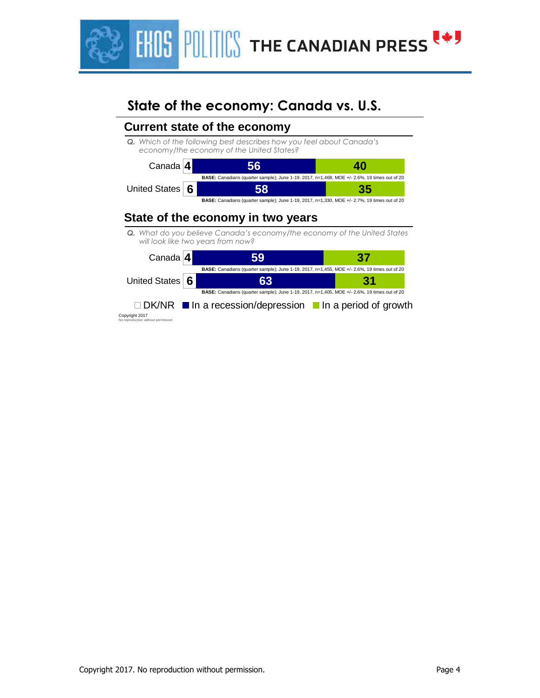

## **State of the economy: Canada vs. U.S.**

#### **4** Canada **56 40 Current state of the economy** *Q. Which of the following best describes how you feel about Canada's economy/the economy of the United States?*



### **State of the economy in two years**

*Q. What do you believe Canada's economy/the economy of the United States will look like two years from now?* 

| Canada $4$      | 59                                                                                                  | 37 |
|-----------------|-----------------------------------------------------------------------------------------------------|----|
|                 | BASE: Canadians (quarter sample); June 1-19, 2017, n=1,455, MOE +/- 2.6%, 19 times out of 20        |    |
| United States 6 | 63                                                                                                  | 31 |
|                 | <b>BASE:</b> Canadians (quarter sample); June 1-19, 2017, n=1,405, MOE +/- 2.6%, 19 times out of 20 |    |
|                 | $\Box$ DK/NR $\blacksquare$ In a recession/depression $\blacksquare$ In a period of growth          |    |

Copyright 2017 ithout permission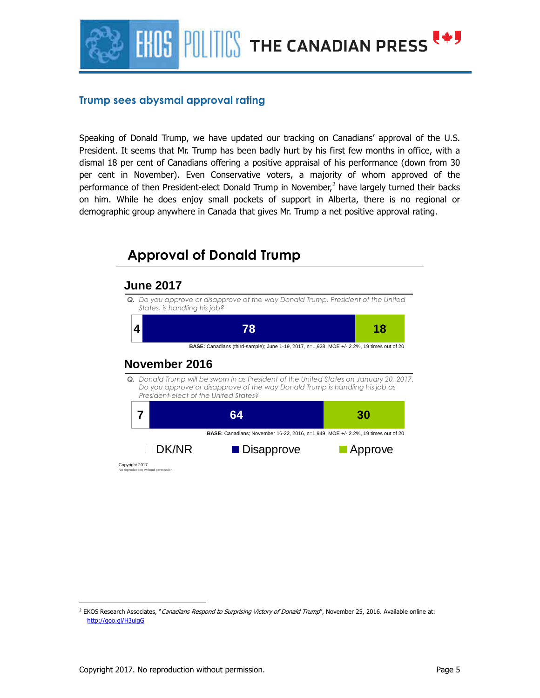

### **Trump sees abysmal approval rating**

Speaking of Donald Trump, we have updated our tracking on Canadians' approval of the U.S. President. It seems that Mr. Trump has been badly hurt by his first few months in office, with a dismal 18 per cent of Canadians offering a positive appraisal of his performance (down from 30 per cent in November). Even Conservative voters, a majority of whom approved of the performance of then President-elect Donald Trump in November,<sup>2</sup> have largely turned their backs on him. While he does enjoy small pockets of support in Alberta, there is no regional or demographic group anywhere in Canada that gives Mr. Trump a net positive approval rating.



<sup>-</sup><sup>2</sup> EKOS Research Associates, "*Canadians Respond to Surprising Victory of Donald Trump*", November 25, 2016. Available online at: http://goo.gl/H3uigG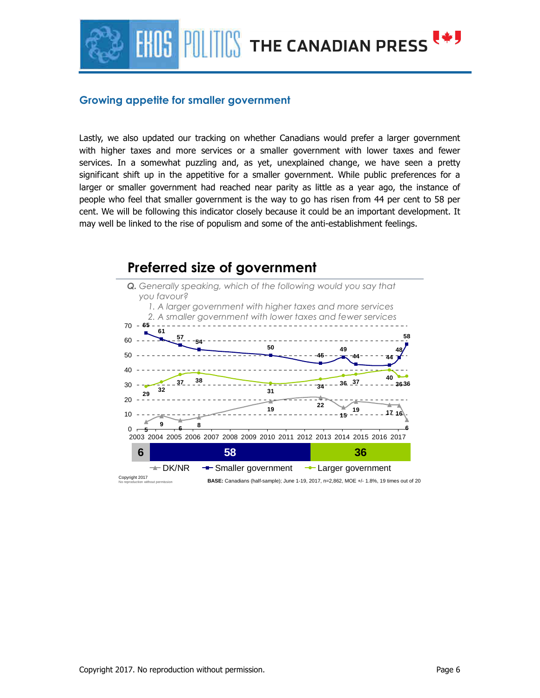

#### **Growing appetite for smaller government**

Lastly, we also updated our tracking on whether Canadians would prefer a larger government with higher taxes and more services or a smaller government with lower taxes and fewer services. In a somewhat puzzling and, as yet, unexplained change, we have seen a pretty significant shift up in the appetitive for a smaller government. While public preferences for a larger or smaller government had reached near parity as little as a year ago, the instance of people who feel that smaller government is the way to go has risen from 44 per cent to 58 per cent. We will be following this indicator closely because it could be an important development. It may well be linked to the rise of populism and some of the anti-establishment feelings.

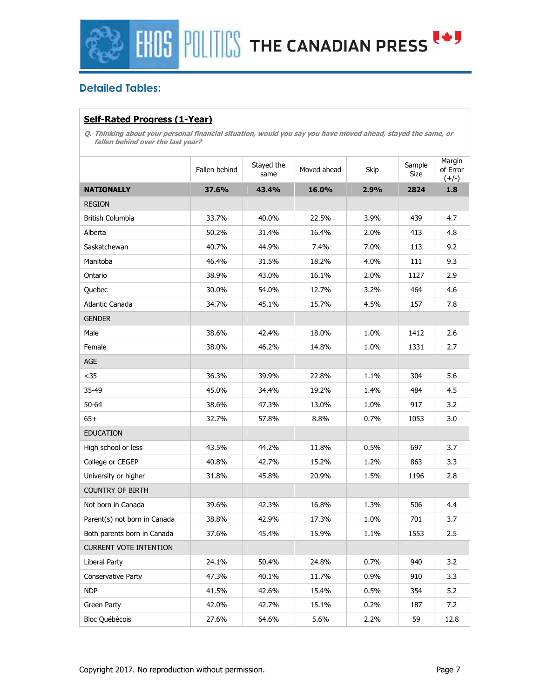

### **Detailed Tables:**

### **Self-Rated Progress (1-Year)**

**Q. Thinking about your personal financial situation, would you say you have moved ahead, stayed the same, or fallen behind over the last year?** 

|                               | Fallen behind | Stayed the<br>same | Moved ahead | Skip | Sample<br>Size | Margin<br>of Error<br>$(+/-)$ |
|-------------------------------|---------------|--------------------|-------------|------|----------------|-------------------------------|
| <b>NATIONALLY</b>             | 37.6%         | 43.4%              | 16.0%       | 2.9% | 2824           | 1.8                           |
| <b>REGION</b>                 |               |                    |             |      |                |                               |
| British Columbia              | 33.7%         | 40.0%              | 22.5%       | 3.9% | 439            | 4.7                           |
| Alberta                       | 50.2%         | 31.4%              | 16.4%       | 2.0% | 413            | 4.8                           |
| Saskatchewan                  | 40.7%         | 44.9%              | 7.4%        | 7.0% | 113            | 9.2                           |
| Manitoba                      | 46.4%         | 31.5%              | 18.2%       | 4.0% | 111            | 9.3                           |
| Ontario                       | 38.9%         | 43.0%              | 16.1%       | 2.0% | 1127           | 2.9                           |
| Quebec                        | 30.0%         | 54.0%              | 12.7%       | 3.2% | 464            | 4.6                           |
| Atlantic Canada               | 34.7%         | 45.1%              | 15.7%       | 4.5% | 157            | 7.8                           |
| <b>GENDER</b>                 |               |                    |             |      |                |                               |
| Male                          | 38.6%         | 42.4%              | 18.0%       | 1.0% | 1412           | 2.6                           |
| Female                        | 38.0%         | 46.2%              | 14.8%       | 1.0% | 1331           | 2.7                           |
| AGE                           |               |                    |             |      |                |                               |
| $35$                          | 36.3%         | 39.9%              | 22.8%       | 1.1% | 304            | 5.6                           |
| 35-49                         | 45.0%         | 34.4%              | 19.2%       | 1.4% | 484            | 4.5                           |
| 50-64                         | 38.6%         | 47.3%              | 13.0%       | 1.0% | 917            | 3.2                           |
| $65+$                         | 32.7%         | 57.8%              | 8.8%        | 0.7% | 1053           | 3.0                           |
| <b>EDUCATION</b>              |               |                    |             |      |                |                               |
| High school or less           | 43.5%         | 44.2%              | 11.8%       | 0.5% | 697            | 3.7                           |
| College or CEGEP              | 40.8%         | 42.7%              | 15.2%       | 1.2% | 863            | 3.3                           |
| University or higher          | 31.8%         | 45.8%              | 20.9%       | 1.5% | 1196           | 2.8                           |
| <b>COUNTRY OF BIRTH</b>       |               |                    |             |      |                |                               |
| Not born in Canada            | 39.6%         | 42.3%              | 16.8%       | 1.3% | 506            | 4.4                           |
| Parent(s) not born in Canada  | 38.8%         | 42.9%              | 17.3%       | 1.0% | 701            | 3.7                           |
| Both parents born in Canada   | 37.6%         | 45.4%              | 15.9%       | 1.1% | 1553           | 2.5                           |
| <b>CURRENT VOTE INTENTION</b> |               |                    |             |      |                |                               |
| Liberal Party                 | 24.1%         | 50.4%              | 24.8%       | 0.7% | 940            | 3.2                           |
| Conservative Party            | 47.3%         | 40.1%              | 11.7%       | 0.9% | 910            | 3.3                           |
| <b>NDP</b>                    | 41.5%         | 42.6%              | 15.4%       | 0.5% | 354            | 5.2                           |
| Green Party                   | 42.0%         | 42.7%              | 15.1%       | 0.2% | 187            | 7.2                           |
| Bloc Québécois                | 27.6%         | 64.6%              | 5.6%        | 2.2% | 59             | 12.8                          |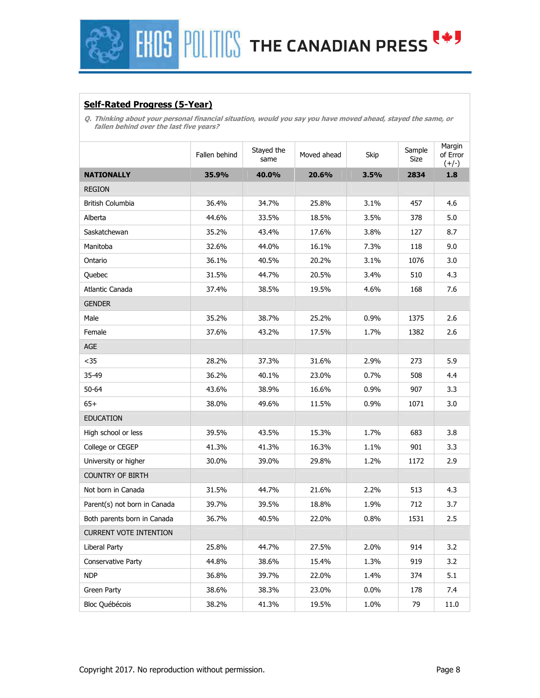

### **Self-Rated Progress (5-Year)**

**Q. Thinking about your personal financial situation, would you say you have moved ahead, stayed the same, or fallen behind over the last five years?** 

|                               | Fallen behind | Stayed the<br>same | Moved ahead | Skip | Sample<br>Size | Margin<br>of Error<br>$(+/-)$ |
|-------------------------------|---------------|--------------------|-------------|------|----------------|-------------------------------|
| <b>NATIONALLY</b>             | 35.9%         | 40.0%              | 20.6%       | 3.5% | 2834           | 1.8                           |
| <b>REGION</b>                 |               |                    |             |      |                |                               |
| British Columbia              | 36.4%         | 34.7%              | 25.8%       | 3.1% | 457            | 4.6                           |
| Alberta                       | 44.6%         | 33.5%              | 18.5%       | 3.5% | 378            | 5.0                           |
| Saskatchewan                  | 35.2%         | 43.4%              | 17.6%       | 3.8% | 127            | 8.7                           |
| Manitoba                      | 32.6%         | 44.0%              | 16.1%       | 7.3% | 118            | 9.0                           |
| Ontario                       | 36.1%         | 40.5%              | 20.2%       | 3.1% | 1076           | 3.0                           |
| Quebec                        | 31.5%         | 44.7%              | 20.5%       | 3.4% | 510            | 4.3                           |
| Atlantic Canada               | 37.4%         | 38.5%              | 19.5%       | 4.6% | 168            | 7.6                           |
| <b>GENDER</b>                 |               |                    |             |      |                |                               |
| Male                          | 35.2%         | 38.7%              | 25.2%       | 0.9% | 1375           | 2.6                           |
| Female                        | 37.6%         | 43.2%              | 17.5%       | 1.7% | 1382           | 2.6                           |
| AGE                           |               |                    |             |      |                |                               |
| $35$                          | 28.2%         | 37.3%              | 31.6%       | 2.9% | 273            | 5.9                           |
| 35-49                         | 36.2%         | 40.1%              | 23.0%       | 0.7% | 508            | 4.4                           |
| 50-64                         | 43.6%         | 38.9%              | 16.6%       | 0.9% | 907            | 3.3                           |
| $65+$                         | 38.0%         | 49.6%              | 11.5%       | 0.9% | 1071           | 3.0                           |
| <b>EDUCATION</b>              |               |                    |             |      |                |                               |
| High school or less           | 39.5%         | 43.5%              | 15.3%       | 1.7% | 683            | 3.8                           |
| College or CEGEP              | 41.3%         | 41.3%              | 16.3%       | 1.1% | 901            | 3.3                           |
| University or higher          | 30.0%         | 39.0%              | 29.8%       | 1.2% | 1172           | 2.9                           |
| <b>COUNTRY OF BIRTH</b>       |               |                    |             |      |                |                               |
| Not born in Canada            | 31.5%         | 44.7%              | 21.6%       | 2.2% | 513            | 4.3                           |
| Parent(s) not born in Canada  | 39.7%         | 39.5%              | 18.8%       | 1.9% | 712            | 3.7                           |
| Both parents born in Canada   | 36.7%         | 40.5%              | 22.0%       | 0.8% | 1531           | 2.5                           |
| <b>CURRENT VOTE INTENTION</b> |               |                    |             |      |                |                               |
| Liberal Party                 | 25.8%         | 44.7%              | 27.5%       | 2.0% | 914            | 3.2                           |
| <b>Conservative Party</b>     | 44.8%         | 38.6%              | 15.4%       | 1.3% | 919            | 3.2                           |
| <b>NDP</b>                    | 36.8%         | 39.7%              | 22.0%       | 1.4% | 374            | 5.1                           |
| Green Party                   | 38.6%         | 38.3%              | 23.0%       | 0.0% | 178            | 7.4                           |
| Bloc Québécois                | 38.2%         | 41.3%              | 19.5%       | 1.0% | 79             | 11.0                          |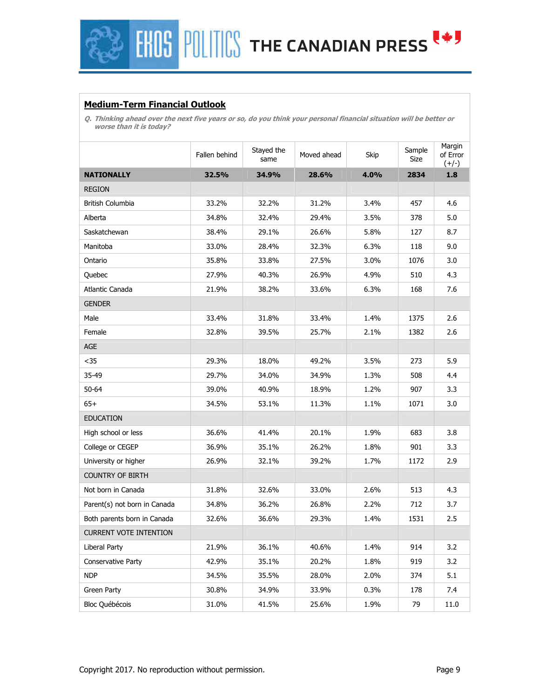## **FHOS POLITICS THE CANADIAN PRESS (\*)**

### **Medium-Term Financial Outlook**

**Q. Thinking ahead over the next five years or so, do you think your personal financial situation will be better or worse than it is today?** 

|                               | Fallen behind | Stayed the<br>same | Moved ahead | Skip | Sample<br>Size | Margin<br>of Error<br>$(+/-)$ |
|-------------------------------|---------------|--------------------|-------------|------|----------------|-------------------------------|
| <b>NATIONALLY</b>             | 32.5%         | 34.9%              | 28.6%       | 4.0% | 2834           | 1.8                           |
| <b>REGION</b>                 |               |                    |             |      |                |                               |
| British Columbia              | 33.2%         | 32.2%              | 31.2%       | 3.4% | 457            | 4.6                           |
| Alberta                       | 34.8%         | 32.4%              | 29.4%       | 3.5% | 378            | 5.0                           |
| Saskatchewan                  | 38.4%         | 29.1%              | 26.6%       | 5.8% | 127            | 8.7                           |
| Manitoba                      | 33.0%         | 28.4%              | 32.3%       | 6.3% | 118            | 9.0                           |
| Ontario                       | 35.8%         | 33.8%              | 27.5%       | 3.0% | 1076           | 3.0                           |
| Quebec                        | 27.9%         | 40.3%              | 26.9%       | 4.9% | 510            | 4.3                           |
| Atlantic Canada               | 21.9%         | 38.2%              | 33.6%       | 6.3% | 168            | 7.6                           |
| <b>GENDER</b>                 |               |                    |             |      |                |                               |
| Male                          | 33.4%         | 31.8%              | 33.4%       | 1.4% | 1375           | 2.6                           |
| Female                        | 32.8%         | 39.5%              | 25.7%       | 2.1% | 1382           | 2.6                           |
| <b>AGE</b>                    |               |                    |             |      |                |                               |
| $35$                          | 29.3%         | 18.0%              | 49.2%       | 3.5% | 273            | 5.9                           |
| 35-49                         | 29.7%         | 34.0%              | 34.9%       | 1.3% | 508            | 4.4                           |
| 50-64                         | 39.0%         | 40.9%              | 18.9%       | 1.2% | 907            | 3.3                           |
| $65+$                         | 34.5%         | 53.1%              | 11.3%       | 1.1% | 1071           | 3.0                           |
| <b>EDUCATION</b>              |               |                    |             |      |                |                               |
| High school or less           | 36.6%         | 41.4%              | 20.1%       | 1.9% | 683            | 3.8                           |
| College or CEGEP              | 36.9%         | 35.1%              | 26.2%       | 1.8% | 901            | 3.3                           |
| University or higher          | 26.9%         | 32.1%              | 39.2%       | 1.7% | 1172           | 2.9                           |
| <b>COUNTRY OF BIRTH</b>       |               |                    |             |      |                |                               |
| Not born in Canada            | 31.8%         | 32.6%              | 33.0%       | 2.6% | 513            | 4.3                           |
| Parent(s) not born in Canada  | 34.8%         | 36.2%              | 26.8%       | 2.2% | 712            | 3.7                           |
| Both parents born in Canada   | 32.6%         | 36.6%              | 29.3%       | 1.4% | 1531           | 2.5                           |
| <b>CURRENT VOTE INTENTION</b> |               |                    |             |      |                |                               |
| Liberal Party                 | 21.9%         | 36.1%              | 40.6%       | 1.4% | 914            | 3.2                           |
| Conservative Party            | 42.9%         | 35.1%              | 20.2%       | 1.8% | 919            | 3.2                           |
| <b>NDP</b>                    | 34.5%         | 35.5%              | 28.0%       | 2.0% | 374            | 5.1                           |
| Green Party                   | 30.8%         | 34.9%              | 33.9%       | 0.3% | 178            | 7.4                           |
| Bloc Québécois                | 31.0%         | 41.5%              | 25.6%       | 1.9% | 79             | 11.0                          |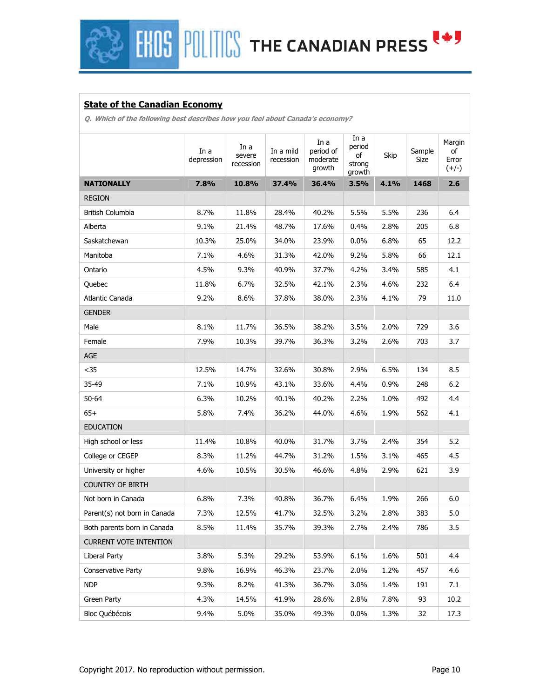**HIDS** POLITICS THE CANADIAN PRESS

### **State of the Canadian Economy**

**Q. Which of the following best describes how you feel about Canada's economy?** 

|                               | In a<br>depression | In a<br>severe<br>recession | In a mild<br>recession | In a<br>period of<br>moderate<br>growth | In a<br>period<br>of<br>strong<br>growth | Skip    | Sample<br>Size | Margin<br>of<br>Error<br>$(+/-)$ |
|-------------------------------|--------------------|-----------------------------|------------------------|-----------------------------------------|------------------------------------------|---------|----------------|----------------------------------|
| <b>NATIONALLY</b>             | 7.8%               | 10.8%                       | 37.4%                  | 36.4%                                   | 3.5%                                     | 4.1%    | 1468           | 2.6                              |
| <b>REGION</b>                 |                    |                             |                        |                                         |                                          |         |                |                                  |
| British Columbia              | 8.7%               | 11.8%                       | 28.4%                  | 40.2%                                   | 5.5%                                     | 5.5%    | 236            | 6.4                              |
| Alberta                       | 9.1%               | 21.4%                       | 48.7%                  | 17.6%                                   | 0.4%                                     | 2.8%    | 205            | 6.8                              |
| Saskatchewan                  | 10.3%              | 25.0%                       | 34.0%                  | 23.9%                                   | $0.0\%$                                  | 6.8%    | 65             | 12.2                             |
| Manitoba                      | 7.1%               | 4.6%                        | 31.3%                  | 42.0%                                   | 9.2%                                     | 5.8%    | 66             | 12.1                             |
| Ontario                       | 4.5%               | 9.3%                        | 40.9%                  | 37.7%                                   | 4.2%                                     | 3.4%    | 585            | 4.1                              |
| Quebec                        | 11.8%              | 6.7%                        | 32.5%                  | 42.1%                                   | 2.3%                                     | 4.6%    | 232            | 6.4                              |
| Atlantic Canada               | 9.2%               | 8.6%                        | 37.8%                  | 38.0%                                   | 2.3%                                     | 4.1%    | 79             | 11.0                             |
| <b>GENDER</b>                 |                    |                             |                        |                                         |                                          |         |                |                                  |
| Male                          | 8.1%               | 11.7%                       | 36.5%                  | 38.2%                                   | 3.5%                                     | 2.0%    | 729            | 3.6                              |
| Female                        | 7.9%               | 10.3%                       | 39.7%                  | 36.3%                                   | 3.2%                                     | 2.6%    | 703            | 3.7                              |
| AGE                           |                    |                             |                        |                                         |                                          |         |                |                                  |
| $35$                          | 12.5%              | 14.7%                       | 32.6%                  | 30.8%                                   | 2.9%                                     | 6.5%    | 134            | 8.5                              |
| 35-49                         | 7.1%               | 10.9%                       | 43.1%                  | 33.6%                                   | 4.4%                                     | $0.9\%$ | 248            | 6.2                              |
| 50-64                         | 6.3%               | 10.2%                       | 40.1%                  | 40.2%                                   | 2.2%                                     | 1.0%    | 492            | 4.4                              |
| $65+$                         | 5.8%               | 7.4%                        | 36.2%                  | 44.0%                                   | 4.6%                                     | 1.9%    | 562            | 4.1                              |
| <b>EDUCATION</b>              |                    |                             |                        |                                         |                                          |         |                |                                  |
| High school or less           | 11.4%              | 10.8%                       | 40.0%                  | 31.7%                                   | 3.7%                                     | 2.4%    | 354            | 5.2                              |
| College or CEGEP              | 8.3%               | 11.2%                       | 44.7%                  | 31.2%                                   | 1.5%                                     | 3.1%    | 465            | 4.5                              |
| University or higher          | 4.6%               | 10.5%                       | 30.5%                  | 46.6%                                   | 4.8%                                     | 2.9%    | 621            | 3.9                              |
| <b>COUNTRY OF BIRTH</b>       |                    |                             |                        |                                         |                                          |         |                |                                  |
| Not born in Canada            | 6.8%               | 7.3%                        | 40.8%                  | 36.7%                                   | 6.4%                                     | 1.9%    | 266            | 6.0                              |
| Parent(s) not born in Canada  | 7.3%               | 12.5%                       | 41.7%                  | 32.5%                                   | 3.2%                                     | 2.8%    | 383            | 5.0                              |
| Both parents born in Canada   | 8.5%               | 11.4%                       | 35.7%                  | 39.3%                                   | 2.7%                                     | 2.4%    | 786            | 3.5                              |
| <b>CURRENT VOTE INTENTION</b> |                    |                             |                        |                                         |                                          |         |                |                                  |
| Liberal Party                 | 3.8%               | 5.3%                        | 29.2%                  | 53.9%                                   | 6.1%                                     | 1.6%    | 501            | 4.4                              |
| Conservative Party            | 9.8%               | 16.9%                       | 46.3%                  | 23.7%                                   | 2.0%                                     | 1.2%    | 457            | 4.6                              |
| <b>NDP</b>                    | 9.3%               | 8.2%                        | 41.3%                  | 36.7%                                   | 3.0%                                     | 1.4%    | 191            | 7.1                              |
| Green Party                   | 4.3%               | 14.5%                       | 41.9%                  | 28.6%                                   | 2.8%                                     | 7.8%    | 93             | 10.2                             |
| Bloc Québécois                | 9.4%               | 5.0%                        | 35.0%                  | 49.3%                                   | 0.0%                                     | 1.3%    | 32             | 17.3                             |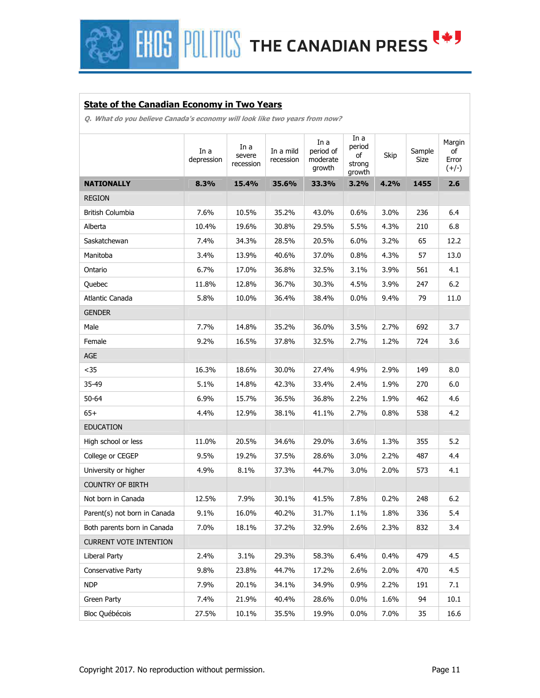**EHOS POLITICS THE CANADIAN PRESS EST** 

### **State of the Canadian Economy in Two Years**

**Q. What do you believe Canada's economy will look like two years from now?** 

|                               | In a<br>depression | In a<br>severe<br>recession | In a mild<br>recession | In a<br>period of<br>moderate<br>growth | In a<br>period<br>of<br>strong<br>growth | Skip | Sample<br>Size | Margin<br>οf<br>Error<br>$(+/-)$ |
|-------------------------------|--------------------|-----------------------------|------------------------|-----------------------------------------|------------------------------------------|------|----------------|----------------------------------|
| <b>NATIONALLY</b>             | 8.3%               | 15.4%                       | 35.6%                  | 33.3%                                   | 3.2%                                     | 4.2% | 1455           | 2.6                              |
| <b>REGION</b>                 |                    |                             |                        |                                         |                                          |      |                |                                  |
| British Columbia              | 7.6%               | 10.5%                       | 35.2%                  | 43.0%                                   | 0.6%                                     | 3.0% | 236            | 6.4                              |
| Alberta                       | 10.4%              | 19.6%                       | 30.8%                  | 29.5%                                   | 5.5%                                     | 4.3% | 210            | 6.8                              |
| Saskatchewan                  | 7.4%               | 34.3%                       | 28.5%                  | 20.5%                                   | 6.0%                                     | 3.2% | 65             | 12.2                             |
| Manitoba                      | 3.4%               | 13.9%                       | 40.6%                  | 37.0%                                   | 0.8%                                     | 4.3% | 57             | 13.0                             |
| Ontario                       | 6.7%               | 17.0%                       | 36.8%                  | 32.5%                                   | 3.1%                                     | 3.9% | 561            | 4.1                              |
| Quebec                        | 11.8%              | 12.8%                       | 36.7%                  | 30.3%                                   | 4.5%                                     | 3.9% | 247            | $6.2$                            |
| Atlantic Canada               | 5.8%               | 10.0%                       | 36.4%                  | 38.4%                                   | 0.0%                                     | 9.4% | 79             | 11.0                             |
| <b>GENDER</b>                 |                    |                             |                        |                                         |                                          |      |                |                                  |
| Male                          | 7.7%               | 14.8%                       | 35.2%                  | 36.0%                                   | 3.5%                                     | 2.7% | 692            | 3.7                              |
| Female                        | 9.2%               | 16.5%                       | 37.8%                  | 32.5%                                   | 2.7%                                     | 1.2% | 724            | 3.6                              |
| AGE                           |                    |                             |                        |                                         |                                          |      |                |                                  |
| $35$                          | 16.3%              | 18.6%                       | 30.0%                  | 27.4%                                   | 4.9%                                     | 2.9% | 149            | 8.0                              |
| 35-49                         | 5.1%               | 14.8%                       | 42.3%                  | 33.4%                                   | 2.4%                                     | 1.9% | 270            | 6.0                              |
| 50-64                         | 6.9%               | 15.7%                       | 36.5%                  | 36.8%                                   | 2.2%                                     | 1.9% | 462            | 4.6                              |
| $65+$                         | 4.4%               | 12.9%                       | 38.1%                  | 41.1%                                   | 2.7%                                     | 0.8% | 538            | 4.2                              |
| <b>EDUCATION</b>              |                    |                             |                        |                                         |                                          |      |                |                                  |
| High school or less           | 11.0%              | 20.5%                       | 34.6%                  | 29.0%                                   | 3.6%                                     | 1.3% | 355            | 5.2                              |
| College or CEGEP              | 9.5%               | 19.2%                       | 37.5%                  | 28.6%                                   | 3.0%                                     | 2.2% | 487            | 4.4                              |
| University or higher          | 4.9%               | 8.1%                        | 37.3%                  | 44.7%                                   | 3.0%                                     | 2.0% | 573            | 4.1                              |
| <b>COUNTRY OF BIRTH</b>       |                    |                             |                        |                                         |                                          |      |                |                                  |
| Not born in Canada            | 12.5%              | 7.9%                        | 30.1%                  | 41.5%                                   | 7.8%                                     | 0.2% | 248            | 6.2                              |
| Parent(s) not born in Canada  | 9.1%               | 16.0%                       | 40.2%                  | 31.7%                                   | 1.1%                                     | 1.8% | 336            | 5.4                              |
| Both parents born in Canada   | 7.0%               | 18.1%                       | 37.2%                  | 32.9%                                   | 2.6%                                     | 2.3% | 832            | 3.4                              |
| <b>CURRENT VOTE INTENTION</b> |                    |                             |                        |                                         |                                          |      |                |                                  |
| Liberal Party                 | 2.4%               | 3.1%                        | 29.3%                  | 58.3%                                   | 6.4%                                     | 0.4% | 479            | 4.5                              |
| Conservative Party            | 9.8%               | 23.8%                       | 44.7%                  | 17.2%                                   | 2.6%                                     | 2.0% | 470            | 4.5                              |
| <b>NDP</b>                    | 7.9%               | 20.1%                       | 34.1%                  | 34.9%                                   | 0.9%                                     | 2.2% | 191            | 7.1                              |
| Green Party                   | 7.4%               | 21.9%                       | 40.4%                  | 28.6%                                   | 0.0%                                     | 1.6% | 94             | 10.1                             |
| Bloc Québécois                | 27.5%              | 10.1%                       | 35.5%                  | 19.9%                                   | $0.0\%$                                  | 7.0% | 35             | 16.6                             |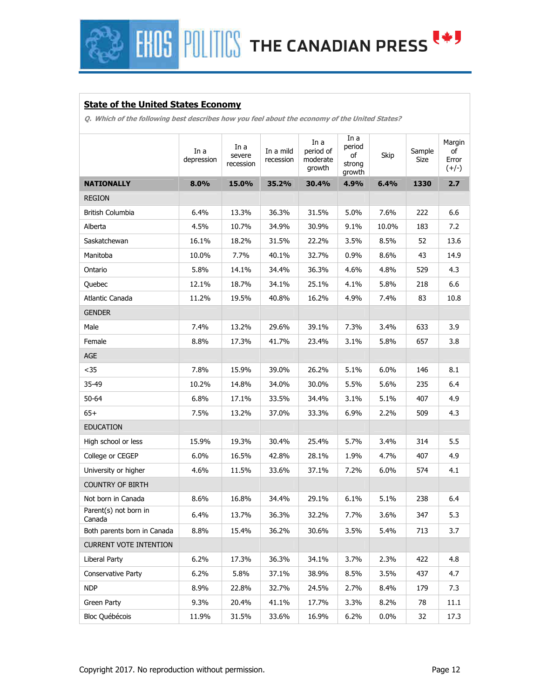**HIDS** POLITICS THE CANADIAN PRESS

### **State of the United States Economy**

**Q. Which of the following best describes how you feel about the economy of the United States?** 

|                                 | In a<br>depression | In a<br>severe<br>recession | In a mild<br>recession | In a<br>period of<br>moderate<br>growth | In a<br>period<br>of<br>strong<br>growth | Skip  | Sample<br>Size | Margin<br>of<br>Error<br>$(+/-)$ |
|---------------------------------|--------------------|-----------------------------|------------------------|-----------------------------------------|------------------------------------------|-------|----------------|----------------------------------|
| <b>NATIONALLY</b>               | 8.0%               | 15.0%                       | 35.2%                  | 30.4%                                   | 4.9%                                     | 6.4%  | 1330           | 2.7                              |
| <b>REGION</b>                   |                    |                             |                        |                                         |                                          |       |                |                                  |
| <b>British Columbia</b>         | 6.4%               | 13.3%                       | 36.3%                  | 31.5%                                   | 5.0%                                     | 7.6%  | 222            | 6.6                              |
| Alberta                         | 4.5%               | 10.7%                       | 34.9%                  | 30.9%                                   | 9.1%                                     | 10.0% | 183            | 7.2                              |
| Saskatchewan                    | 16.1%              | 18.2%                       | 31.5%                  | 22.2%                                   | 3.5%                                     | 8.5%  | 52             | 13.6                             |
| Manitoba                        | 10.0%              | 7.7%                        | 40.1%                  | 32.7%                                   | 0.9%                                     | 8.6%  | 43             | 14.9                             |
| Ontario                         | 5.8%               | 14.1%                       | 34.4%                  | 36.3%                                   | 4.6%                                     | 4.8%  | 529            | 4.3                              |
| Quebec                          | 12.1%              | 18.7%                       | 34.1%                  | 25.1%                                   | 4.1%                                     | 5.8%  | 218            | 6.6                              |
| Atlantic Canada                 | 11.2%              | 19.5%                       | 40.8%                  | 16.2%                                   | 4.9%                                     | 7.4%  | 83             | 10.8                             |
| <b>GENDER</b>                   |                    |                             |                        |                                         |                                          |       |                |                                  |
| Male                            | 7.4%               | 13.2%                       | 29.6%                  | 39.1%                                   | 7.3%                                     | 3.4%  | 633            | 3.9                              |
| Female                          | 8.8%               | 17.3%                       | 41.7%                  | 23.4%                                   | 3.1%                                     | 5.8%  | 657            | 3.8                              |
| AGE                             |                    |                             |                        |                                         |                                          |       |                |                                  |
| $35$                            | 7.8%               | 15.9%                       | 39.0%                  | 26.2%                                   | 5.1%                                     | 6.0%  | 146            | 8.1                              |
| 35-49                           | 10.2%              | 14.8%                       | 34.0%                  | 30.0%                                   | 5.5%                                     | 5.6%  | 235            | 6.4                              |
| 50-64                           | 6.8%               | 17.1%                       | 33.5%                  | 34.4%                                   | 3.1%                                     | 5.1%  | 407            | 4.9                              |
| $65+$                           | 7.5%               | 13.2%                       | 37.0%                  | 33.3%                                   | 6.9%                                     | 2.2%  | 509            | 4.3                              |
| <b>EDUCATION</b>                |                    |                             |                        |                                         |                                          |       |                |                                  |
| High school or less             | 15.9%              | 19.3%                       | 30.4%                  | 25.4%                                   | 5.7%                                     | 3.4%  | 314            | 5.5                              |
| College or CEGEP                | 6.0%               | 16.5%                       | 42.8%                  | 28.1%                                   | 1.9%                                     | 4.7%  | 407            | 4.9                              |
| University or higher            | 4.6%               | 11.5%                       | 33.6%                  | 37.1%                                   | 7.2%                                     | 6.0%  | 574            | 4.1                              |
| <b>COUNTRY OF BIRTH</b>         |                    |                             |                        |                                         |                                          |       |                |                                  |
| Not born in Canada              | 8.6%               | 16.8%                       | 34.4%                  | 29.1%                                   | 6.1%                                     | 5.1%  | 238            | 6.4                              |
| Parent(s) not born in<br>Canada | 6.4%               | 13.7%                       | 36.3%                  | 32.2%                                   | 7.7%                                     | 3.6%  | 347            | 5.3                              |
| Both parents born in Canada     | 8.8%               | 15.4%                       | 36.2%                  | 30.6%                                   | 3.5%                                     | 5.4%  | 713            | 3.7                              |
| <b>CURRENT VOTE INTENTION</b>   |                    |                             |                        |                                         |                                          |       |                |                                  |
| Liberal Party                   | 6.2%               | 17.3%                       | 36.3%                  | 34.1%                                   | 3.7%                                     | 2.3%  | 422            | 4.8                              |
| Conservative Party              | 6.2%               | 5.8%                        | 37.1%                  | 38.9%                                   | 8.5%                                     | 3.5%  | 437            | 4.7                              |
| <b>NDP</b>                      | 8.9%               | 22.8%                       | 32.7%                  | 24.5%                                   | 2.7%                                     | 8.4%  | 179            | 7.3                              |
| Green Party                     | 9.3%               | 20.4%                       | 41.1%                  | 17.7%                                   | 3.3%                                     | 8.2%  | 78             | 11.1                             |
| Bloc Québécois                  | 11.9%              | 31.5%                       | 33.6%                  | 16.9%                                   | 6.2%                                     | 0.0%  | 32             | 17.3                             |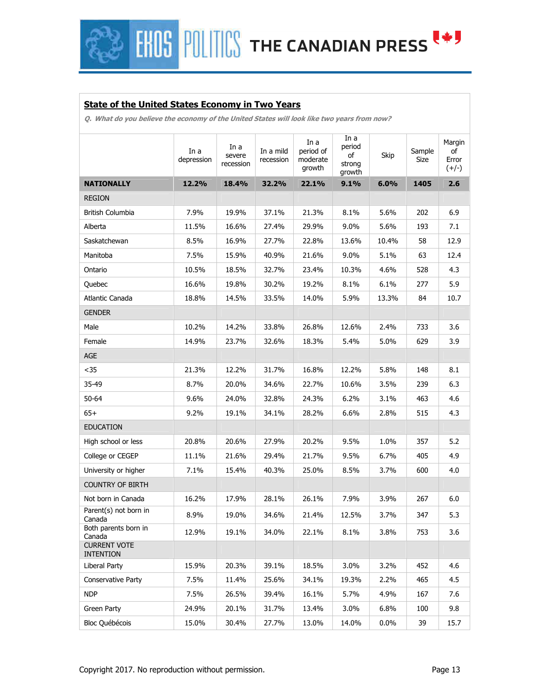**HOS POLITICS THE CANADIAN PRESS (\*)** 

### **State of the United States Economy in Two Years**

**Q. What do you believe the economy of the United States will look like two years from now?** 

|                                         | In a<br>depression | In a<br>severe<br>recession | In a mild<br>recession | In a<br>period of<br>moderate<br>growth | In a<br>period<br>of<br>strong<br>growth | Skip  | Sample<br>Size | Margin<br>of<br>Error<br>$(+/-)$ |
|-----------------------------------------|--------------------|-----------------------------|------------------------|-----------------------------------------|------------------------------------------|-------|----------------|----------------------------------|
| <b>NATIONALLY</b>                       | 12.2%              | 18.4%                       | 32.2%                  | 22.1%                                   | 9.1%                                     | 6.0%  | 1405           | 2.6                              |
| <b>REGION</b>                           |                    |                             |                        |                                         |                                          |       |                |                                  |
| British Columbia                        | 7.9%               | 19.9%                       | 37.1%                  | 21.3%                                   | 8.1%                                     | 5.6%  | 202            | 6.9                              |
| Alberta                                 | 11.5%              | 16.6%                       | 27.4%                  | 29.9%                                   | 9.0%                                     | 5.6%  | 193            | 7.1                              |
| Saskatchewan                            | 8.5%               | 16.9%                       | 27.7%                  | 22.8%                                   | 13.6%                                    | 10.4% | 58             | 12.9                             |
| Manitoba                                | 7.5%               | 15.9%                       | 40.9%                  | 21.6%                                   | 9.0%                                     | 5.1%  | 63             | 12.4                             |
| Ontario                                 | 10.5%              | 18.5%                       | 32.7%                  | 23.4%                                   | 10.3%                                    | 4.6%  | 528            | 4.3                              |
| Quebec                                  | 16.6%              | 19.8%                       | 30.2%                  | 19.2%                                   | 8.1%                                     | 6.1%  | 277            | 5.9                              |
| Atlantic Canada                         | 18.8%              | 14.5%                       | 33.5%                  | 14.0%                                   | 5.9%                                     | 13.3% | 84             | 10.7                             |
| <b>GENDER</b>                           |                    |                             |                        |                                         |                                          |       |                |                                  |
| Male                                    | 10.2%              | 14.2%                       | 33.8%                  | 26.8%                                   | 12.6%                                    | 2.4%  | 733            | 3.6                              |
| Female                                  | 14.9%              | 23.7%                       | 32.6%                  | 18.3%                                   | 5.4%                                     | 5.0%  | 629            | 3.9                              |
| AGE                                     |                    |                             |                        |                                         |                                          |       |                |                                  |
| $35$                                    | 21.3%              | 12.2%                       | 31.7%                  | 16.8%                                   | 12.2%                                    | 5.8%  | 148            | 8.1                              |
| 35-49                                   | 8.7%               | 20.0%                       | 34.6%                  | 22.7%                                   | 10.6%                                    | 3.5%  | 239            | 6.3                              |
| $50 - 64$                               | 9.6%               | 24.0%                       | 32.8%                  | 24.3%                                   | 6.2%                                     | 3.1%  | 463            | 4.6                              |
| $65+$                                   | 9.2%               | 19.1%                       | 34.1%                  | 28.2%                                   | 6.6%                                     | 2.8%  | 515            | 4.3                              |
| <b>EDUCATION</b>                        |                    |                             |                        |                                         |                                          |       |                |                                  |
| High school or less                     | 20.8%              | 20.6%                       | 27.9%                  | 20.2%                                   | 9.5%                                     | 1.0%  | 357            | 5.2                              |
| College or CEGEP                        | 11.1%              | 21.6%                       | 29.4%                  | 21.7%                                   | 9.5%                                     | 6.7%  | 405            | 4.9                              |
| University or higher                    | 7.1%               | 15.4%                       | 40.3%                  | 25.0%                                   | 8.5%                                     | 3.7%  | 600            | 4.0                              |
| <b>COUNTRY OF BIRTH</b>                 |                    |                             |                        |                                         |                                          |       |                |                                  |
| Not born in Canada                      | 16.2%              | 17.9%                       | 28.1%                  | 26.1%                                   | 7.9%                                     | 3.9%  | 267            | 6.0                              |
| Parent(s) not born in<br>Canada         | 8.9%               | 19.0%                       | 34.6%                  | 21.4%                                   | 12.5%                                    | 3.7%  | 347            | 5.3                              |
| Both parents born in<br>Canada          | 12.9%              | 19.1%                       | 34.0%                  | 22.1%                                   | 8.1%                                     | 3.8%  | 753            | 3.6                              |
| <b>CURRENT VOTE</b><br><b>INTENTION</b> |                    |                             |                        |                                         |                                          |       |                |                                  |
| Liberal Party                           | 15.9%              | 20.3%                       | 39.1%                  | 18.5%                                   | 3.0%                                     | 3.2%  | 452            | 4.6                              |
| Conservative Party                      | 7.5%               | 11.4%                       | 25.6%                  | 34.1%                                   | 19.3%                                    | 2.2%  | 465            | 4.5                              |
| <b>NDP</b>                              | 7.5%               | 26.5%                       | 39.4%                  | 16.1%                                   | 5.7%                                     | 4.9%  | 167            | 7.6                              |
| Green Party                             | 24.9%              | 20.1%                       | 31.7%                  | 13.4%                                   | 3.0%                                     | 6.8%  | 100            | 9.8                              |
| <b>Bloc Québécois</b>                   | 15.0%              | 30.4%                       | 27.7%                  | 13.0%                                   | 14.0%                                    | 0.0%  | 39             | 15.7                             |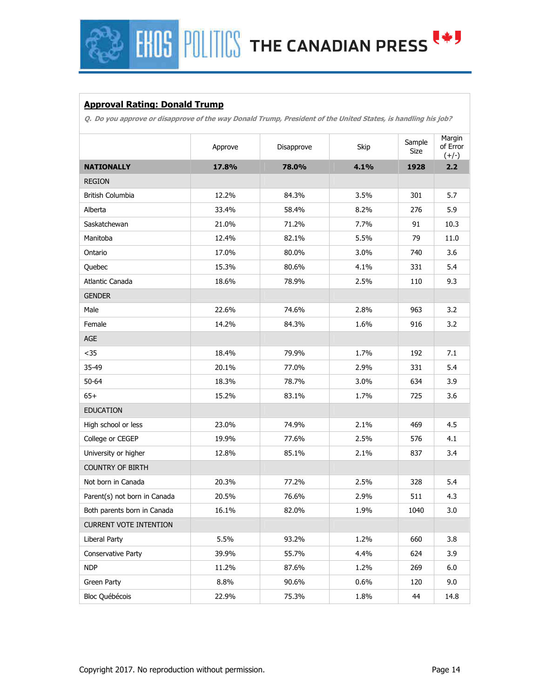## **FHOS POLITICS THE CANADIAN PRESS (\*)**

### **Approval Rating: Donald Trump**

**Q. Do you approve or disapprove of the way Donald Trump, President of the United States, is handling his job?** 

|                               | Approve | Disapprove | Skip | Sample<br>Size | Margin<br>of Error<br>$(+/-)$ |
|-------------------------------|---------|------------|------|----------------|-------------------------------|
| <b>NATIONALLY</b>             | 17.8%   | 78.0%      | 4.1% | 1928           | 2.2                           |
| <b>REGION</b>                 |         |            |      |                |                               |
| <b>British Columbia</b>       | 12.2%   | 84.3%      | 3.5% | 301            | 5.7                           |
| Alberta                       | 33.4%   | 58.4%      | 8.2% | 276            | 5.9                           |
| Saskatchewan                  | 21.0%   | 71.2%      | 7.7% | 91             | 10.3                          |
| Manitoba                      | 12.4%   | 82.1%      | 5.5% | 79             | 11.0                          |
| Ontario                       | 17.0%   | 80.0%      | 3.0% | 740            | 3.6                           |
| Quebec                        | 15.3%   | 80.6%      | 4.1% | 331            | 5.4                           |
| Atlantic Canada               | 18.6%   | 78.9%      | 2.5% | 110            | 9.3                           |
| <b>GENDER</b>                 |         |            |      |                |                               |
| Male                          | 22.6%   | 74.6%      | 2.8% | 963            | 3.2                           |
| Female                        | 14.2%   | 84.3%      | 1.6% | 916            | 3.2                           |
| $\mathsf{AGE}$                |         |            |      |                |                               |
| $35$                          | 18.4%   | 79.9%      | 1.7% | 192            | 7.1                           |
| 35-49                         | 20.1%   | 77.0%      | 2.9% | 331            | 5.4                           |
| $50 - 64$                     | 18.3%   | 78.7%      | 3.0% | 634            | 3.9                           |
| $65+$                         | 15.2%   | 83.1%      | 1.7% | 725            | 3.6                           |
| <b>EDUCATION</b>              |         |            |      |                |                               |
| High school or less           | 23.0%   | 74.9%      | 2.1% | 469            | 4.5                           |
| College or CEGEP              | 19.9%   | 77.6%      | 2.5% | 576            | 4.1                           |
| University or higher          | 12.8%   | 85.1%      | 2.1% | 837            | 3.4                           |
| <b>COUNTRY OF BIRTH</b>       |         |            |      |                |                               |
| Not born in Canada            | 20.3%   | 77.2%      | 2.5% | 328            | 5.4                           |
| Parent(s) not born in Canada  | 20.5%   | 76.6%      | 2.9% | 511            | 4.3                           |
| Both parents born in Canada   | 16.1%   | 82.0%      | 1.9% | 1040           | 3.0                           |
| <b>CURRENT VOTE INTENTION</b> |         |            |      |                |                               |
| Liberal Party                 | 5.5%    | 93.2%      | 1.2% | 660            | 3.8                           |
| Conservative Party            | 39.9%   | 55.7%      | 4.4% | 624            | 3.9                           |
| <b>NDP</b>                    | 11.2%   | 87.6%      | 1.2% | 269            | 6.0                           |
| Green Party                   | 8.8%    | 90.6%      | 0.6% | 120            | 9.0                           |
| Bloc Québécois                | 22.9%   | 75.3%      | 1.8% | 44             | 14.8                          |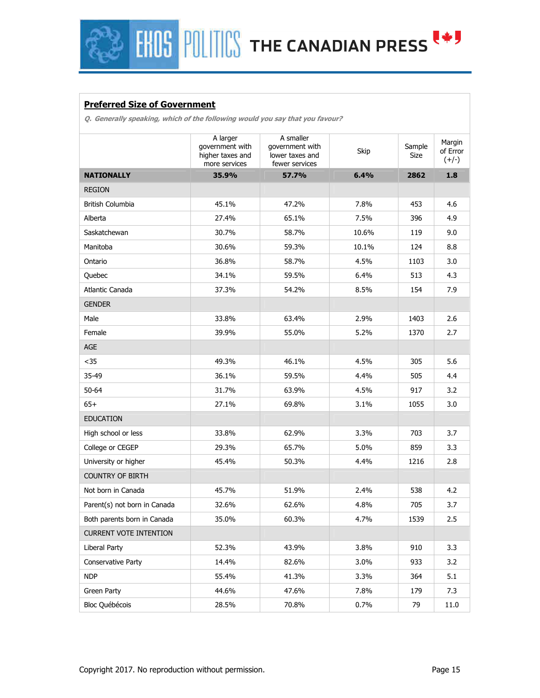# **FHOS POLITICS THE CANADIAN PRESS EST**

### **Preferred Size of Government**

**Q. Generally speaking, which of the following would you say that you favour?** 

|                               | A larger<br>government with<br>higher taxes and<br>more services | A smaller<br>government with<br>lower taxes and<br>fewer services | Skip  | Sample<br>Size | Margin<br>of Error<br>$(+/-)$ |
|-------------------------------|------------------------------------------------------------------|-------------------------------------------------------------------|-------|----------------|-------------------------------|
| <b>NATIONALLY</b>             | 35.9%                                                            | 57.7%                                                             | 6.4%  | 2862           | 1.8                           |
| <b>REGION</b>                 |                                                                  |                                                                   |       |                |                               |
| British Columbia              | 45.1%                                                            | 47.2%                                                             | 7.8%  | 453            | 4.6                           |
| Alberta                       | 27.4%                                                            | 65.1%                                                             | 7.5%  | 396            | 4.9                           |
| Saskatchewan                  | 30.7%                                                            | 58.7%                                                             | 10.6% | 119            | 9.0                           |
| Manitoba                      | 30.6%                                                            | 59.3%                                                             | 10.1% | 124            | 8.8                           |
| Ontario                       | 36.8%                                                            | 58.7%                                                             | 4.5%  | 1103           | 3.0                           |
| Quebec                        | 34.1%                                                            | 59.5%                                                             | 6.4%  | 513            | 4.3                           |
| Atlantic Canada               | 37.3%                                                            | 54.2%                                                             | 8.5%  | 154            | 7.9                           |
| <b>GENDER</b>                 |                                                                  |                                                                   |       |                |                               |
| Male                          | 33.8%                                                            | 63.4%                                                             | 2.9%  | 1403           | 2.6                           |
| Female                        | 39.9%                                                            | 55.0%                                                             | 5.2%  | 1370           | 2.7                           |
| AGE                           |                                                                  |                                                                   |       |                |                               |
| $35$                          | 49.3%                                                            | 46.1%                                                             | 4.5%  | 305            | 5.6                           |
| 35-49                         | 36.1%                                                            | 59.5%                                                             | 4.4%  | 505            | 4.4                           |
| $50 - 64$                     | 31.7%                                                            | 63.9%                                                             | 4.5%  | 917            | 3.2                           |
| $65+$                         | 27.1%                                                            | 69.8%                                                             | 3.1%  | 1055           | 3.0                           |
| <b>EDUCATION</b>              |                                                                  |                                                                   |       |                |                               |
| High school or less           | 33.8%                                                            | 62.9%                                                             | 3.3%  | 703            | 3.7                           |
| College or CEGEP              | 29.3%                                                            | 65.7%                                                             | 5.0%  | 859            | 3.3                           |
| University or higher          | 45.4%                                                            | 50.3%                                                             | 4.4%  | 1216           | 2.8                           |
| <b>COUNTRY OF BIRTH</b>       |                                                                  |                                                                   |       |                |                               |
| Not born in Canada            | 45.7%                                                            | 51.9%                                                             | 2.4%  | 538            | 4.2                           |
| Parent(s) not born in Canada  | 32.6%                                                            | 62.6%                                                             | 4.8%  | 705            | 3.7                           |
| Both parents born in Canada   | 35.0%                                                            | 60.3%                                                             | 4.7%  | 1539           | 2.5                           |
| <b>CURRENT VOTE INTENTION</b> |                                                                  |                                                                   |       |                |                               |
| Liberal Party                 | 52.3%                                                            | 43.9%                                                             | 3.8%  | 910            | 3.3                           |
| Conservative Party            | 14.4%                                                            | 82.6%                                                             | 3.0%  | 933            | 3.2                           |
| <b>NDP</b>                    | 55.4%                                                            | 41.3%                                                             | 3.3%  | 364            | 5.1                           |
| Green Party                   | 44.6%                                                            | 47.6%                                                             | 7.8%  | 179            | 7.3                           |
| Bloc Québécois                | 28.5%                                                            | 70.8%                                                             | 0.7%  | 79             | 11.0                          |